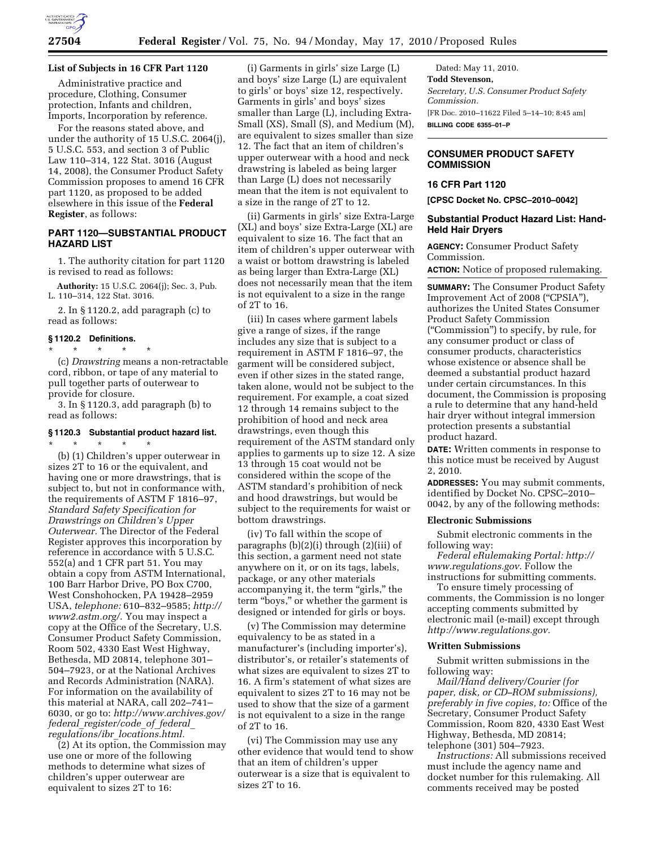

# **List of Subjects in 16 CFR Part 1120**

Administrative practice and procedure, Clothing, Consumer protection, Infants and children, Imports, Incorporation by reference.

For the reasons stated above, and under the authority of 15 U.S.C. 2064(j), 5 U.S.C. 553, and section 3 of Public Law 110–314, 122 Stat. 3016 (August 14, 2008), the Consumer Product Safety Commission proposes to amend 16 CFR part 1120, as proposed to be added elsewhere in this issue of the **Federal Register**, as follows:

## **PART 1120—SUBSTANTIAL PRODUCT HAZARD LIST**

1. The authority citation for part 1120 is revised to read as follows:

**Authority:** 15 U.S.C. 2064(j); Sec. 3, Pub. L. 110–314, 122 Stat. 3016.

2. In § 1120.2, add paragraph (c) to read as follows:

#### **§ 1120.2 Definitions.**

\* \* \* \* \* (c) *Drawstring* means a non-retractable cord, ribbon, or tape of any material to pull together parts of outerwear to provide for closure.

3. In § 1120.3, add paragraph (b) to read as follows:

# **§ 1120.3 Substantial product hazard list.**  \* \* \* \* \*

(b) (1) Children's upper outerwear in sizes 2T to 16 or the equivalent, and having one or more drawstrings, that is subject to, but not in conformance with, the requirements of ASTM F 1816–97, *Standard Safety Specification for Drawstrings on Children's Upper Outerwear.* The Director of the Federal Register approves this incorporation by reference in accordance with 5 U.S.C. 552(a) and 1 CFR part 51. You may obtain a copy from ASTM International, 100 Barr Harbor Drive, PO Box C700, West Conshohocken, PA 19428–2959 USA, *telephone:* 610–832–9585; *http:// www2.astm.org/*. You may inspect a copy at the Office of the Secretary, U.S. Consumer Product Safety Commission, Room 502, 4330 East West Highway, Bethesda, MD 20814, telephone 301– 504–7923, or at the National Archives and Records Administration (NARA). For information on the availability of this material at NARA, call 202–741– 6030, or go to: *http://www.archives.gov/ federal*\_*register/code*\_*of*\_*federal*\_ *regulations/ibr*\_*locations.html.* 

(2) At its option, the Commission may use one or more of the following methods to determine what sizes of children's upper outerwear are equivalent to sizes 2T to 16:

(i) Garments in girls' size Large (L) and boys' size Large (L) are equivalent to girls' or boys' size 12, respectively. Garments in girls' and boys' sizes smaller than Large (L), including Extra-Small (XS), Small (S), and Medium (M), are equivalent to sizes smaller than size 12. The fact that an item of children's upper outerwear with a hood and neck drawstring is labeled as being larger than Large (L) does not necessarily mean that the item is not equivalent to a size in the range of 2T to 12.

(ii) Garments in girls' size Extra-Large (XL) and boys' size Extra-Large (XL) are equivalent to size 16. The fact that an item of children's upper outerwear with a waist or bottom drawstring is labeled as being larger than Extra-Large (XL) does not necessarily mean that the item is not equivalent to a size in the range of 2T to 16.

(iii) In cases where garment labels give a range of sizes, if the range includes any size that is subject to a requirement in ASTM F 1816–97, the garment will be considered subject, even if other sizes in the stated range, taken alone, would not be subject to the requirement. For example, a coat sized 12 through 14 remains subject to the prohibition of hood and neck area drawstrings, even though this requirement of the ASTM standard only applies to garments up to size 12. A size 13 through 15 coat would not be considered within the scope of the ASTM standard's prohibition of neck and hood drawstrings, but would be subject to the requirements for waist or bottom drawstrings.

(iv) To fall within the scope of paragraphs (b)(2)(i) through (2)(iii) of this section, a garment need not state anywhere on it, or on its tags, labels, package, or any other materials accompanying it, the term ''girls,'' the term "boys," or whether the garment is designed or intended for girls or boys.

(v) The Commission may determine equivalency to be as stated in a manufacturer's (including importer's), distributor's, or retailer's statements of what sizes are equivalent to sizes 2T to 16. A firm's statement of what sizes are equivalent to sizes 2T to 16 may not be used to show that the size of a garment is not equivalent to a size in the range of 2T to 16.

(vi) The Commission may use any other evidence that would tend to show that an item of children's upper outerwear is a size that is equivalent to sizes 2T to 16.

Dated: May 11, 2010. **Todd Stevenson,**  *Secretary, U.S. Consumer Product Safety Commission.*  [FR Doc. 2010–11622 Filed 5–14–10; 8:45 am] **BILLING CODE 6355–01–P** 

# **CONSUMER PRODUCT SAFETY COMMISSION**

#### **16 CFR Part 1120**

**[CPSC Docket No. CPSC–2010–0042]** 

## **Substantial Product Hazard List: Hand-Held Hair Dryers**

**AGENCY:** Consumer Product Safety Commission. **ACTION:** Notice of proposed rulemaking.

**SUMMARY:** The Consumer Product Safety

Improvement Act of 2008 (''CPSIA''), authorizes the United States Consumer Product Safety Commission (''Commission'') to specify, by rule, for any consumer product or class of consumer products, characteristics whose existence or absence shall be deemed a substantial product hazard under certain circumstances. In this document, the Commission is proposing a rule to determine that any hand-held hair dryer without integral immersion protection presents a substantial product hazard.

**DATE:** Written comments in response to this notice must be received by August 2, 2010.

**ADDRESSES:** You may submit comments, identified by Docket No. CPSC–2010– 0042, by any of the following methods:

#### **Electronic Submissions**

Submit electronic comments in the following way:

*Federal eRulemaking Portal: http:// www.regulations.gov*. Follow the instructions for submitting comments.

To ensure timely processing of comments, the Commission is no longer accepting comments submitted by electronic mail (e-mail) except through *http://www.regulations.gov.* 

## **Written Submissions**

Submit written submissions in the following way:

*Mail/Hand delivery/Courier (for paper, disk, or CD–ROM submissions), preferably in five copies, to:* Office of the Secretary, Consumer Product Safety Commission, Room 820, 4330 East West Highway, Bethesda, MD 20814; telephone (301) 504–7923.

*Instructions:* All submissions received must include the agency name and docket number for this rulemaking. All comments received may be posted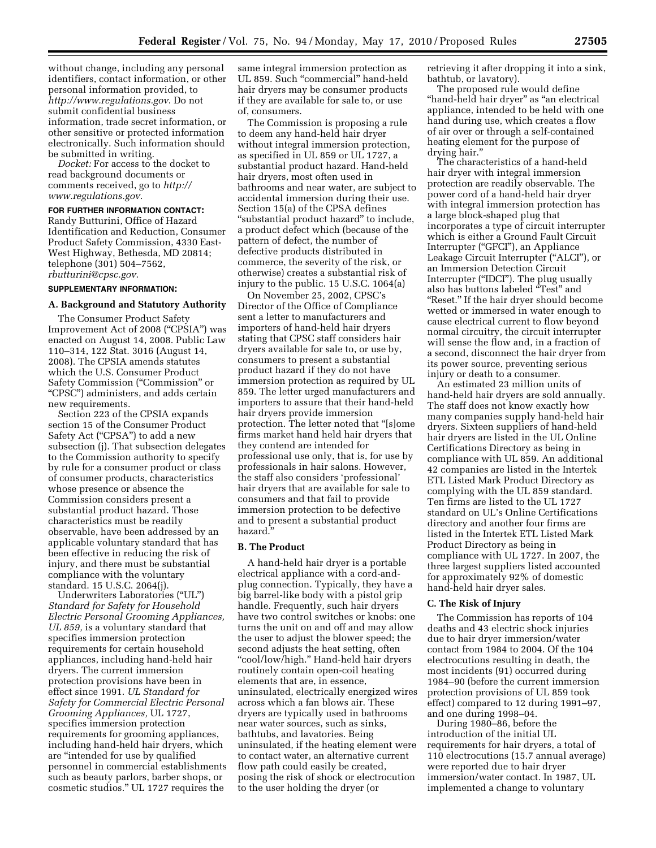without change, including any personal identifiers, contact information, or other personal information provided, to *http://www.regulations.gov*. Do not submit confidential business information, trade secret information, or other sensitive or protected information electronically. Such information should be submitted in writing.

*Docket:* For access to the docket to read background documents or comments received, go to *http:// www.regulations.gov*.

**FOR FURTHER INFORMATION CONTACT:**  Randy Butturini, Office of Hazard Identification and Reduction, Consumer Product Safety Commission, 4330 East-West Highway, Bethesda, MD 20814; telephone (301) 504–7562, *rbutturini@cpsc.gov*.

#### **SUPPLEMENTARY INFORMATION:**

## **A. Background and Statutory Authority**

The Consumer Product Safety Improvement Act of 2008 (''CPSIA'') was enacted on August 14, 2008. Public Law 110–314, 122 Stat. 3016 (August 14, 2008). The CPSIA amends statutes which the U.S. Consumer Product Safety Commission (''Commission'' or ''CPSC'') administers, and adds certain new requirements.

Section 223 of the CPSIA expands section 15 of the Consumer Product Safety Act ("CPSA") to add a new subsection (j). That subsection delegates to the Commission authority to specify by rule for a consumer product or class of consumer products, characteristics whose presence or absence the Commission considers present a substantial product hazard. Those characteristics must be readily observable, have been addressed by an applicable voluntary standard that has been effective in reducing the risk of injury, and there must be substantial compliance with the voluntary standard. 15 U.S.C. 2064(j).

Underwriters Laboratories (''UL'') *Standard for Safety for Household Electric Personal Grooming Appliances, UL 859,* is a voluntary standard that specifies immersion protection requirements for certain household appliances, including hand-held hair dryers. The current immersion protection provisions have been in effect since 1991. *UL Standard for Safety for Commercial Electric Personal Grooming Appliances,* UL 1727, specifies immersion protection requirements for grooming appliances, including hand-held hair dryers, which are ''intended for use by qualified personnel in commercial establishments such as beauty parlors, barber shops, or cosmetic studios.'' UL 1727 requires the

same integral immersion protection as UL 859. Such "commercial" hand-held hair dryers may be consumer products if they are available for sale to, or use of, consumers.

The Commission is proposing a rule to deem any hand-held hair dryer without integral immersion protection, as specified in UL 859 or UL 1727, a substantial product hazard. Hand-held hair dryers, most often used in bathrooms and near water, are subject to accidental immersion during their use. Section 15(a) of the CPSA defines "substantial product hazard" to include, a product defect which (because of the pattern of defect, the number of defective products distributed in commerce, the severity of the risk, or otherwise) creates a substantial risk of injury to the public. 15 U.S.C. 1064(a)

On November 25, 2002, CPSC's Director of the Office of Compliance sent a letter to manufacturers and importers of hand-held hair dryers stating that CPSC staff considers hair dryers available for sale to, or use by, consumers to present a substantial product hazard if they do not have immersion protection as required by UL 859. The letter urged manufacturers and importers to assure that their hand-held hair dryers provide immersion protection. The letter noted that ''[s]ome firms market hand held hair dryers that they contend are intended for professional use only, that is, for use by professionals in hair salons. However, the staff also considers 'professional' hair dryers that are available for sale to consumers and that fail to provide immersion protection to be defective and to present a substantial product hazard.

#### **B. The Product**

A hand-held hair dryer is a portable electrical appliance with a cord-andplug connection. Typically, they have a big barrel-like body with a pistol grip handle. Frequently, such hair dryers have two control switches or knobs: one turns the unit on and off and may allow the user to adjust the blower speed; the second adjusts the heat setting, often ''cool/low/high.'' Hand-held hair dryers routinely contain open-coil heating elements that are, in essence, uninsulated, electrically energized wires across which a fan blows air. These dryers are typically used in bathrooms near water sources, such as sinks, bathtubs, and lavatories. Being uninsulated, if the heating element were to contact water, an alternative current flow path could easily be created, posing the risk of shock or electrocution to the user holding the dryer (or

retrieving it after dropping it into a sink, bathtub, or lavatory).

The proposed rule would define ''hand-held hair dryer'' as ''an electrical appliance, intended to be held with one hand during use, which creates a flow of air over or through a self-contained heating element for the purpose of drying hair.''

The characteristics of a hand-held hair dryer with integral immersion protection are readily observable. The power cord of a hand-held hair dryer with integral immersion protection has a large block-shaped plug that incorporates a type of circuit interrupter which is either a Ground Fault Circuit Interrupter (''GFCI''), an Appliance Leakage Circuit Interrupter (''ALCI''), or an Immersion Detection Circuit Interrupter (''IDCI''). The plug usually also has buttons labeled ''Test'' and "Reset." If the hair dryer should become wetted or immersed in water enough to cause electrical current to flow beyond normal circuitry, the circuit interrupter will sense the flow and, in a fraction of a second, disconnect the hair dryer from its power source, preventing serious injury or death to a consumer.

An estimated 23 million units of hand-held hair dryers are sold annually. The staff does not know exactly how many companies supply hand-held hair dryers. Sixteen suppliers of hand-held hair dryers are listed in the UL Online Certifications Directory as being in compliance with UL 859. An additional 42 companies are listed in the Intertek ETL Listed Mark Product Directory as complying with the UL 859 standard. Ten firms are listed to the UL 1727 standard on UL's Online Certifications directory and another four firms are listed in the Intertek ETL Listed Mark Product Directory as being in compliance with UL 1727. In 2007, the three largest suppliers listed accounted for approximately 92% of domestic hand-held hair dryer sales.

#### **C. The Risk of Injury**

The Commission has reports of 104 deaths and 43 electric shock injuries due to hair dryer immersion/water contact from 1984 to 2004. Of the 104 electrocutions resulting in death, the most incidents (91) occurred during 1984–90 (before the current immersion protection provisions of UL 859 took effect) compared to 12 during 1991–97, and one during 1998–04.

During 1980–86, before the introduction of the initial UL requirements for hair dryers, a total of 110 electrocutions (15.7 annual average) were reported due to hair dryer immersion/water contact. In 1987, UL implemented a change to voluntary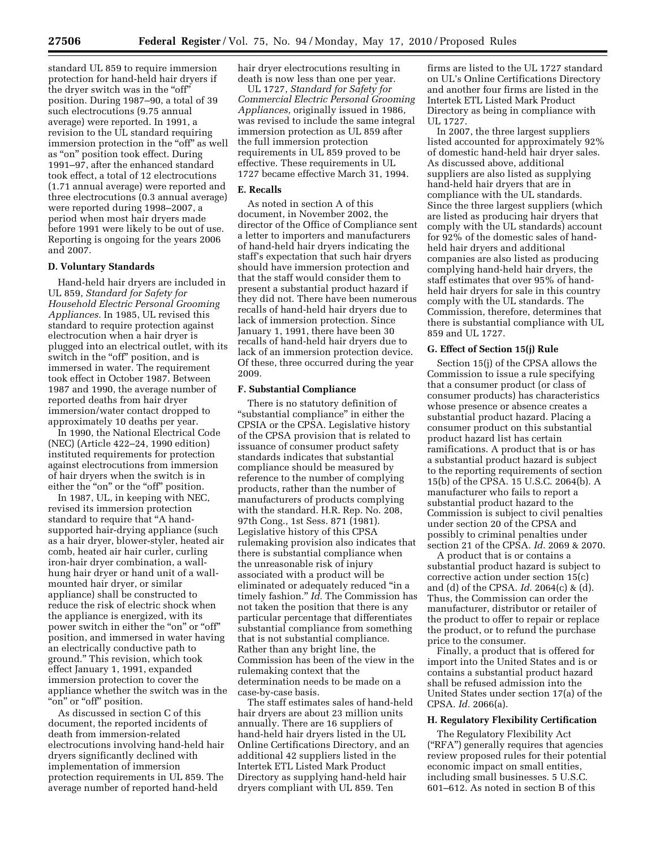standard UL 859 to require immersion protection for hand-held hair dryers if the dryer switch was in the "off" position. During 1987–90, a total of 39 such electrocutions (9.75 annual average) were reported. In 1991, a revision to the UL standard requiring immersion protection in the "off" as well as ''on'' position took effect. During 1991–97, after the enhanced standard took effect, a total of 12 electrocutions (1.71 annual average) were reported and three electrocutions (0.3 annual average) were reported during 1998–2007, a period when most hair dryers made before 1991 were likely to be out of use. Reporting is ongoing for the years 2006 and 2007.

## **D. Voluntary Standards**

Hand-held hair dryers are included in UL 859, *Standard for Safety for Household Electric Personal Grooming Appliances.* In 1985, UL revised this standard to require protection against electrocution when a hair dryer is plugged into an electrical outlet, with its switch in the "off" position, and is immersed in water. The requirement took effect in October 1987. Between 1987 and 1990, the average number of reported deaths from hair dryer immersion/water contact dropped to approximately 10 deaths per year.

In 1990, the National Electrical Code (NEC) (Article 422–24, 1990 edition) instituted requirements for protection against electrocutions from immersion of hair dryers when the switch is in either the "on" or the "off" position.

In 1987, UL, in keeping with NEC, revised its immersion protection standard to require that ''A handsupported hair-drying appliance (such as a hair dryer, blower-styler, heated air comb, heated air hair curler, curling iron-hair dryer combination, a wallhung hair dryer or hand unit of a wallmounted hair dryer, or similar appliance) shall be constructed to reduce the risk of electric shock when the appliance is energized, with its power switch in either the "on" or "off" position, and immersed in water having an electrically conductive path to ground.'' This revision, which took effect January 1, 1991, expanded immersion protection to cover the appliance whether the switch was in the "on" or "off" position.

As discussed in section C of this document, the reported incidents of death from immersion-related electrocutions involving hand-held hair dryers significantly declined with implementation of immersion protection requirements in UL 859. The average number of reported hand-held

hair dryer electrocutions resulting in death is now less than one per year.

UL 1727, *Standard for Safety for Commercial Electric Personal Grooming Appliances,* originally issued in 1986, was revised to include the same integral immersion protection as UL 859 after the full immersion protection requirements in UL 859 proved to be effective. These requirements in UL 1727 became effective March 31, 1994.

# **E. Recalls**

As noted in section A of this document, in November 2002, the director of the Office of Compliance sent a letter to importers and manufacturers of hand-held hair dryers indicating the staff's expectation that such hair dryers should have immersion protection and that the staff would consider them to present a substantial product hazard if they did not. There have been numerous recalls of hand-held hair dryers due to lack of immersion protection. Since January 1, 1991, there have been 30 recalls of hand-held hair dryers due to lack of an immersion protection device. Of these, three occurred during the year 2009.

#### **F. Substantial Compliance**

There is no statutory definition of "substantial compliance" in either the CPSIA or the CPSA. Legislative history of the CPSA provision that is related to issuance of consumer product safety standards indicates that substantial compliance should be measured by reference to the number of complying products, rather than the number of manufacturers of products complying with the standard. H.R. Rep. No. 208, 97th Cong., 1st Sess. 871 (1981). Legislative history of this CPSA rulemaking provision also indicates that there is substantial compliance when the unreasonable risk of injury associated with a product will be eliminated or adequately reduced ''in a timely fashion.'' *Id.* The Commission has not taken the position that there is any particular percentage that differentiates substantial compliance from something that is not substantial compliance. Rather than any bright line, the Commission has been of the view in the rulemaking context that the determination needs to be made on a case-by-case basis.

The staff estimates sales of hand-held hair dryers are about 23 million units annually. There are 16 suppliers of hand-held hair dryers listed in the UL Online Certifications Directory, and an additional 42 suppliers listed in the Intertek ETL Listed Mark Product Directory as supplying hand-held hair dryers compliant with UL 859. Ten

firms are listed to the UL 1727 standard on UL's Online Certifications Directory and another four firms are listed in the Intertek ETL Listed Mark Product Directory as being in compliance with UL 1727.

In 2007, the three largest suppliers listed accounted for approximately 92% of domestic hand-held hair dryer sales. As discussed above, additional suppliers are also listed as supplying hand-held hair dryers that are in compliance with the UL standards. Since the three largest suppliers (which are listed as producing hair dryers that comply with the UL standards) account for 92% of the domestic sales of handheld hair dryers and additional companies are also listed as producing complying hand-held hair dryers, the staff estimates that over 95% of handheld hair dryers for sale in this country comply with the UL standards. The Commission, therefore, determines that there is substantial compliance with UL 859 and UL 1727.

#### **G. Effect of Section 15(j) Rule**

Section 15(j) of the CPSA allows the Commission to issue a rule specifying that a consumer product (or class of consumer products) has characteristics whose presence or absence creates a substantial product hazard. Placing a consumer product on this substantial product hazard list has certain ramifications. A product that is or has a substantial product hazard is subject to the reporting requirements of section 15(b) of the CPSA. 15 U.S.C. 2064(b). A manufacturer who fails to report a substantial product hazard to the Commission is subject to civil penalties under section 20 of the CPSA and possibly to criminal penalties under section 21 of the CPSA. *Id.* 2069 & 2070.

A product that is or contains a substantial product hazard is subject to corrective action under section 15(c) and (d) of the CPSA. *Id.* 2064(c) & (d). Thus, the Commission can order the manufacturer, distributor or retailer of the product to offer to repair or replace the product, or to refund the purchase price to the consumer.

Finally, a product that is offered for import into the United States and is or contains a substantial product hazard shall be refused admission into the United States under section 17(a) of the CPSA. *Id.* 2066(a).

#### **H. Regulatory Flexibility Certification**

The Regulatory Flexibility Act (''RFA'') generally requires that agencies review proposed rules for their potential economic impact on small entities, including small businesses. 5 U.S.C. 601–612. As noted in section B of this